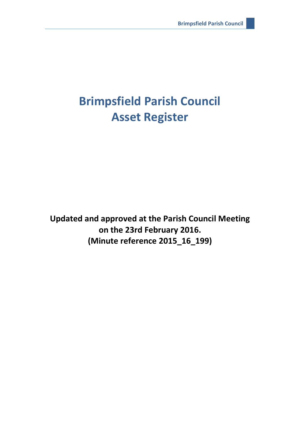# **Brimpsfield Parish Council Asset Register**

**Updated and approved at the Parish Council Meeting on the 23rd February 2016. (Minute reference 2015\_16\_199)**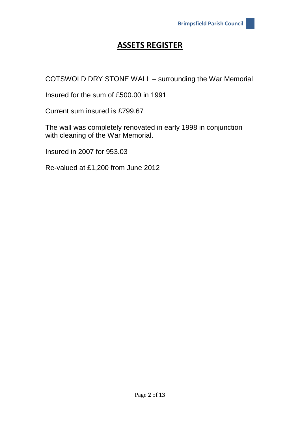COTSWOLD DRY STONE WALL – surrounding the War Memorial

Insured for the sum of £500.00 in 1991

Current sum insured is £799.67

The wall was completely renovated in early 1998 in conjunction with cleaning of the War Memorial.

Insured in 2007 for 953.03

Re-valued at £1,200 from June 2012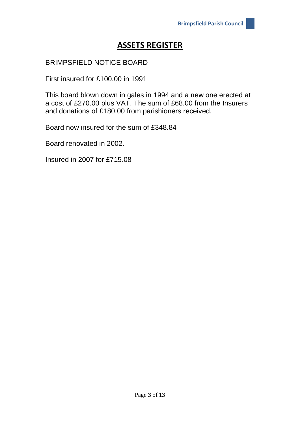#### BRIMPSFIELD NOTICE BOARD

First insured for £100.00 in 1991

This board blown down in gales in 1994 and a new one erected at a cost of £270.00 plus VAT. The sum of £68.00 from the Insurers and donations of £180.00 from parishioners received.

Board now insured for the sum of £348.84

Board renovated in 2002.

Insured in 2007 for £715.08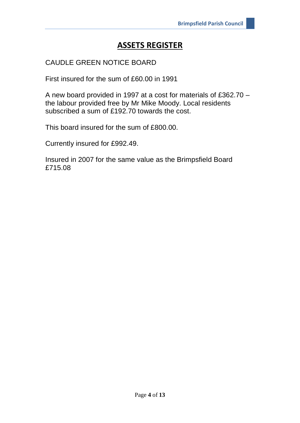#### CAUDLE GREEN NOTICE BOARD

First insured for the sum of £60.00 in 1991

A new board provided in 1997 at a cost for materials of £362.70 – the labour provided free by Mr Mike Moody. Local residents subscribed a sum of £192.70 towards the cost.

This board insured for the sum of £800.00.

Currently insured for £992.49.

Insured in 2007 for the same value as the Brimpsfield Board £715.08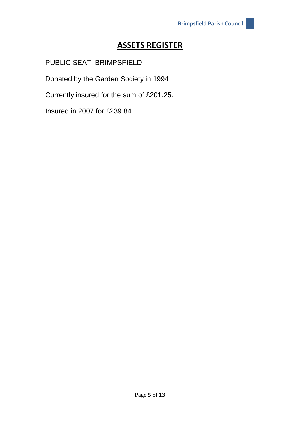PUBLIC SEAT, BRIMPSFIELD.

Donated by the Garden Society in 1994

Currently insured for the sum of £201.25.

Insured in 2007 for £239.84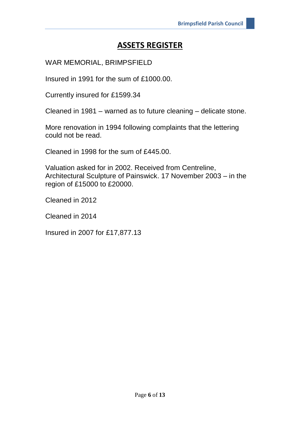WAR MEMORIAL, BRIMPSFIELD

Insured in 1991 for the sum of £1000.00.

Currently insured for £1599.34

Cleaned in 1981 – warned as to future cleaning – delicate stone.

More renovation in 1994 following complaints that the lettering could not be read.

Cleaned in 1998 for the sum of £445.00.

Valuation asked for in 2002. Received from Centreline, Architectural Sculpture of Painswick. 17 November 2003 – in the region of £15000 to £20000.

Cleaned in 2012

Cleaned in 2014

Insured in 2007 for £17,877.13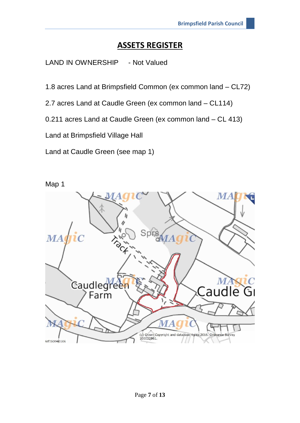LAND IN OWNERSHIP - Not Valued

1.8 acres Land at Brimpsfield Common (ex common land – CL72)

2.7 acres Land at Caudle Green (ex common land – CL114)

0.211 acres Land at Caudle Green (ex common land – CL 413)

Land at Brimpsfield Village Hall

Land at Caudle Green (see map 1)

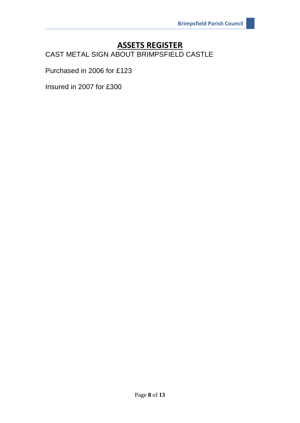CAST METAL SIGN ABOUT BRIMPSFIELD CASTLE

Purchased in 2006 for £123

Insured in 2007 for £300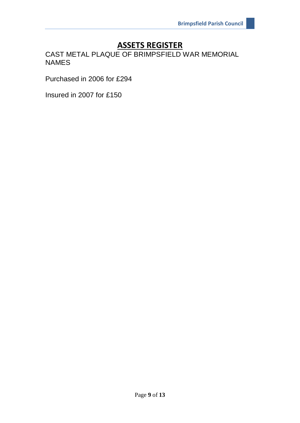CAST METAL PLAQUE OF BRIMPSFIELD WAR MEMORIAL NAMES

Purchased in 2006 for £294

Insured in 2007 for £150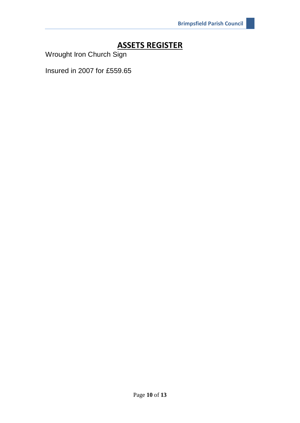Wrought Iron Church Sign

Insured in 2007 for £559.65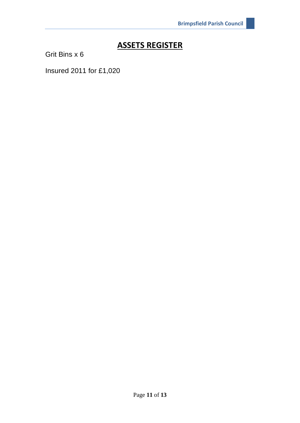Grit Bins x 6

Insured 2011 for £1,020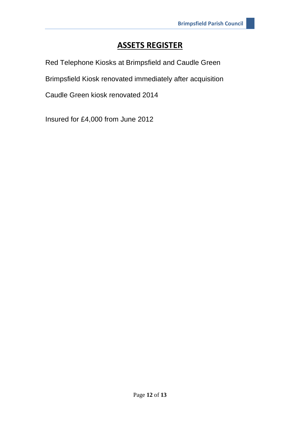Red Telephone Kiosks at Brimpsfield and Caudle Green

Brimpsfield Kiosk renovated immediately after acquisition

Caudle Green kiosk renovated 2014

Insured for £4,000 from June 2012